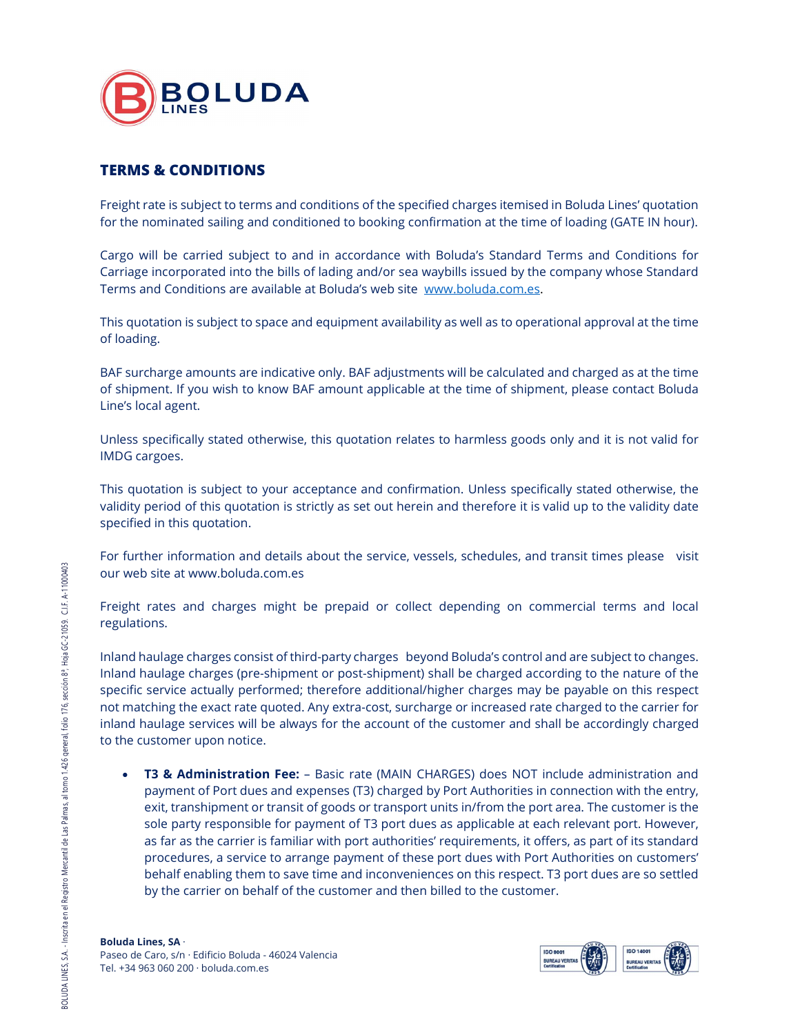

## TERMS & CONDITIONS

Freight rate is subject to terms and conditions of the specified charges itemised in Boluda Lines' quotation for the nominated sailing and conditioned to booking confirmation at the time of loading (GATE IN hour).

 Cargo will be carried subject to and in accordance with Boluda's Standard Terms and Conditions for Carriage incorporated into the bills of lading and/or sea waybills issued by the company whose Standard Terms and Conditions are available at Boluda's web site www.boluda.com.es.<br>This quotation is subject to space and equipment availability as well as to operational approval at the time

of loading.

BAF surcharge amounts are indicative only. BAF adjustments will be calculated and charged as at the time of shipment. If you wish to know BAF amount applicable at the time of shipment, please contact Boluda Line's local agent.

Unless specifically stated otherwise, this quotation relates to harmless goods only and it is not valid for IMDG cargoes.

This quotation is subject to your acceptance and confirmation. Unless specifically stated otherwise, the validity period of this quotation is strictly as set out herein and therefore it is valid up to the validity date specified in this quotation.

For further information and details about the service, vessels, schedules, and transit times please visit our web site at www.boluda.com.es

Freight rates and charges might be prepaid or collect depending on commercial terms and local regulations.

Inland haulage charges consist of third-party charges beyond Boluda's control and are subject to changes. Inland haulage charges (pre-shipment or post-shipment) shall be charged according to the nature of the specific service actually performed; therefore additional/higher charges may be payable on this respect not matching the exact rate quoted. Any extra-cost, surcharge or increased rate charged to the carrier for inland haulage services will be always for the account of the customer and shall be accordingly charged to the customer upon notice.

Freight rates and charges might<br>
Freight rates and charges might<br>
regulations.<br>
Inland haulage charges consist of the<br>
Inland haulage charges (pre-shipm<br>
specific service actually performed<br>
not matching the exact rate quo • T3 & Administration Fee: - Basic rate (MAIN CHARGES) does NOT include administration and payment of Port dues and expenses (T3) charged by Port Authorities in connection with the entry, exit, transhipment or transit of goods or transport units in/from the port area. The customer is the sole party responsible for payment of T3 port dues as applicable at each relevant port. However, as far as the carrier is familiar with port authorities' requirements, it offers, as part of its standard procedures, a service to arrange payment of these port dues with Port Authorities on customers' behalf enabling them to save time and inconveniences on this respect. T3 port dues are so settled by the carrier on behalf of the customer and then billed to the customer.

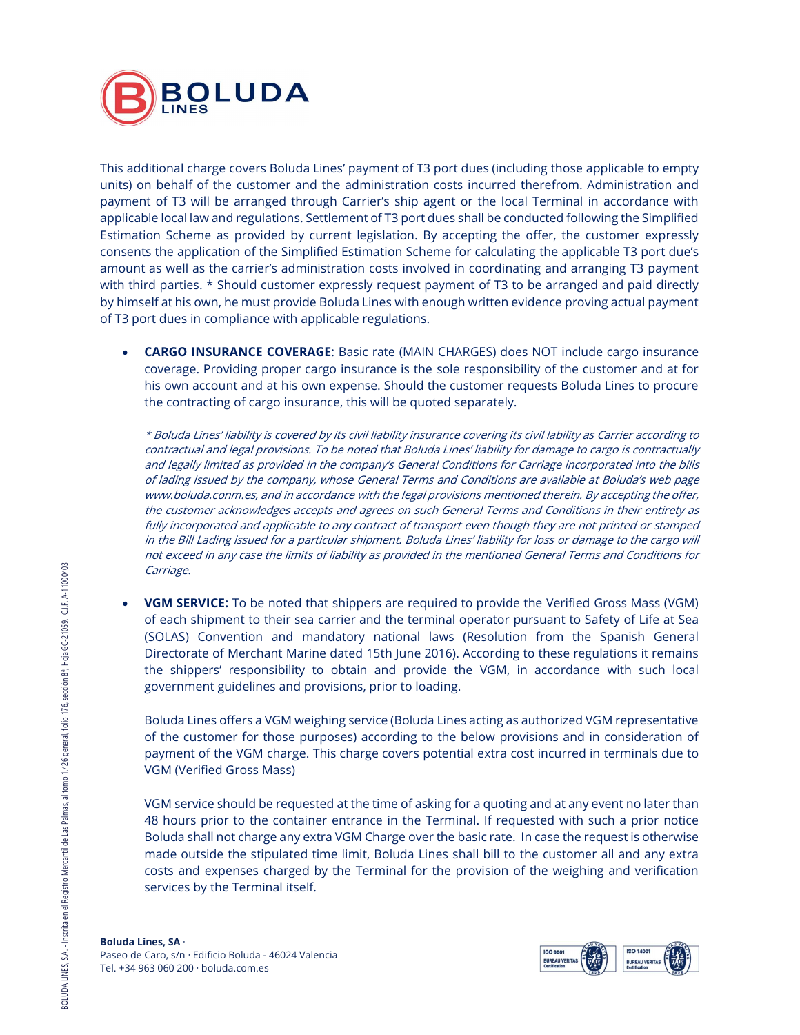

This additional charge covers Boluda Lines' payment of T3 port dues (including those applicable to empty units) on behalf of the customer and the administration costs incurred therefrom. Administration and payment of T3 will be arranged through Carrier's ship agent or the local Terminal in accordance with applicable local law and regulations. Settlement of T3 port dues shall be conducted following the Simplified Estimation Scheme as provided by current legislation. By accepting the offer, the customer expressly consents the application of the Simplified Estimation Scheme for calculating the applicable T3 port due's amount as well as the carrier's administration costs involved in coordinating and arranging T3 payment with third parties. \* Should customer expressly request payment of T3 to be arranged and paid directly by himself at his own, he must provide Boluda Lines with enough written evidence proving actual payment of T3 port dues in compliance with applicable regulations.

• **CARGO INSURANCE COVERAGE**: Basic rate (MAIN CHARGES) does NOT include cargo insurance coverage. Providing proper cargo insurance is the sole responsibility of the customer and at for his own account and at his own expense. Should the customer requests Boluda Lines to procure the contracting of cargo insurance, this will be quoted separately.

\* Boluda Lines' liability is covered by its civil liability insurance covering its civil lability as Carrier according to contractual and legal provisions. To be noted that Boluda Lines' liability for damage to cargo is contractually and legally limited as provided in the company's General Conditions for Carriage incorporated into the bills of lading issued by the company, whose General Terms and Conditions are available at Boluda's web page www.boluda.conm.es, and in accordance with the legal provisions mentioned therein. By accepting the offer, the customer acknowledges accepts and agrees on such General Terms and Conditions in their entirety as fully incorporated and applicable to any contract of transport even though they are not printed or stamped in the Bill Lading issued for a particular shipment. Boluda Lines' liability for loss or damage to the cargo will not exceed in any case the limits of liability as provided in the mentioned General Terms and Conditions for Carriage.

Carriage.<br>
• **VGM SERVICE:** To be noted<br>
of each shipment to their s<br>
(SOLAS) Convention and<br>
Directorate of Merchant M.<br>
the shippers' responsibilit<br>
government guidelines and<br>
of the customer for those<br>
payment of the VG VGM SERVICE: To be noted that shippers are required to provide the Verified Gross Mass (VGM) of each shipment to their sea carrier and the terminal operator pursuant to Safety of Life at Sea (SOLAS) Convention and mandatory national laws (Resolution from the Spanish General Directorate of Merchant Marine dated 15th June 2016). According to these regulations it remains the shippers' responsibility to obtain and provide the VGM, in accordance with such local government guidelines and provisions, prior to loading.

Boluda Lines offers a VGM weighing service (Boluda Lines acting as authorized VGM representative of the customer for those purposes) according to the below provisions and in consideration of payment of the VGM charge. This charge covers potential extra cost incurred in terminals due to VGM (Verified Gross Mass)

VGM service should be requested at the time of asking for a quoting and at any event no later than 48 hours prior to the container entrance in the Terminal. If requested with such a prior notice Boluda shall not charge any extra VGM Charge over the basic rate. In case the request is otherwise made outside the stipulated time limit, Boluda Lines shall bill to the customer all and any extra costs and expenses charged by the Terminal for the provision of the weighing and verification services by the Terminal itself.